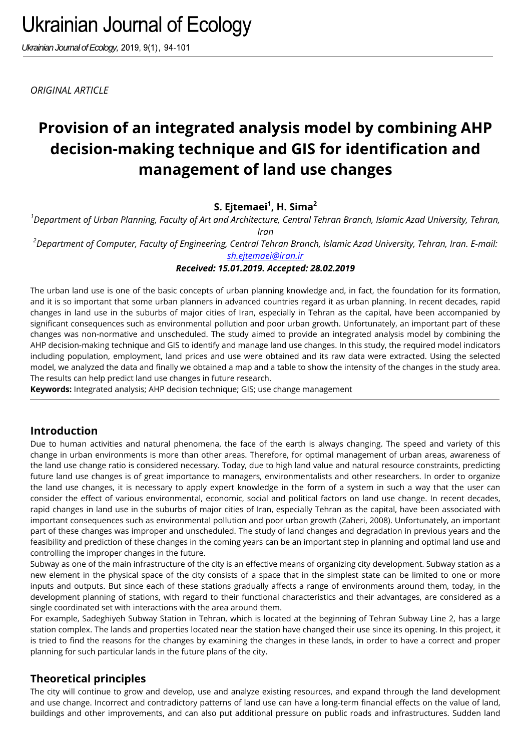*Ukrainian Journal of Ecology,* 2019, 9(1), 94-101

*ORIGINAL ARTICLE*

# **Provision of an integrated analysis model by combining AHP decision-making technique and GIS for identification and management of land use changes**

**S. Ejtemaei<sup>1</sup> , H. Sima<sup>2</sup>**

*<sup>1</sup>Department of Urban Planning, Faculty of Art and Architecture, Central Tehran Branch, Islamic Azad University, Tehran, Iran*

*<sup>2</sup>Department of Computer, Faculty of Engineering, Central Tehran Branch, Islamic Azad University, Tehran, Iran. E-mail: sh.ejtemaei@iran.ir*

*Received: 15.01.2019. Accepted: 28.02.2019*

The urban land use is one of the basic concepts of urban planning knowledge and, in fact, the foundation for its formation, and it is so important that some urban planners in advanced countries regard it as urban planning. In recent decades, rapid changes in land use in the suburbs of major cities of Iran, especially in Tehran as the capital, have been accompanied by significant consequences such as environmental pollution and poor urban growth. Unfortunately, an important part of these changes was non-normative and unscheduled. The study aimed to provide an integrated analysis model by combining the AHP decision-making technique and GIS to identify and manage land use changes. In this study, the required model indicators including population, employment, land prices and use were obtained and its raw data were extracted. Using the selected model, we analyzed the data and finally we obtained a map and a table to show the intensity of the changes in the study area. The results can help predict land use changes in future research.

**Keywords:** Integrated analysis; AHP decision technique; GIS; use change management

# **Introduction**

Due to human activities and natural phenomena, the face of the earth is always changing. The speed and variety of this change in urban environments is more than other areas. Therefore, for optimal management of urban areas, awareness of the land use change ratio is considered necessary. Today, due to high land value and natural resource constraints, predicting future land use changes is of great importance to managers, environmentalists and other researchers. In order to organize the land use changes, it is necessary to apply expert knowledge in the form of a system in such a way that the user can consider the effect of various environmental, economic, social and political factors on land use change. In recent decades, rapid changes in land use in the suburbs of major cities of Iran, especially Tehran as the capital, have been associated with important consequences such as environmental pollution and poor urban growth (Zaheri, 2008). Unfortunately, an important part of these changes was improper and unscheduled. The study of land changes and degradation in previous years and the feasibility and prediction of these changes in the coming years can be an important step in planning and optimal land use and controlling the improper changes in the future.

Subway as one of the main infrastructure of the city is an effective means of organizing city development. Subway station as a new element in the physical space of the city consists of a space that in the simplest state can be limited to one or more inputs and outputs. But since each of these stations gradually affects a range of environments around them, today, in the development planning of stations, with regard to their functional characteristics and their advantages, are considered as a single coordinated set with interactions with the area around them.

For example, Sadeghiyeh Subway Station in Tehran, which is located at the beginning of Tehran Subway Line 2, has a large station complex. The lands and properties located near the station have changed their use since its opening. In this project, it is tried to find the reasons for the changes by examining the changes in these lands, in order to have a correct and proper planning for such particular lands in the future plans of the city.

# **Theoretical principles**

The city will continue to grow and develop, use and analyze existing resources, and expand through the land development and use change. Incorrect and contradictory patterns of land use can have a long-term financial effects on the value of land, buildings and other improvements, and can also put additional pressure on public roads and infrastructures. Sudden land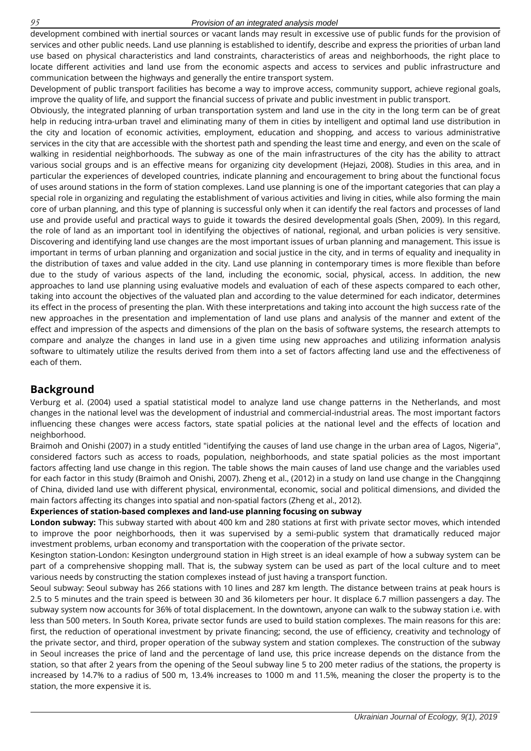#### *95 Provision of an integrated analysis model*

development combined with inertial sources or vacant lands may result in excessive use of public funds for the provision of services and other public needs. Land use planning is established to identify, describe and express the priorities of urban land use based on physical characteristics and land constraints, characteristics of areas and neighborhoods, the right place to locate different activities and land use from the economic aspects and access to services and public infrastructure and communication between the highways and generally the entire transport system.

Development of public transport facilities has become a way to improve access, community support, achieve regional goals, improve the quality of life, and support the financial success of private and public investment in public transport.

Obviously, the integrated planning of urban transportation system and land use in the city in the long term can be of great help in reducing intra-urban travel and eliminating many of them in cities by intelligent and optimal land use distribution in the city and location of economic activities, employment, education and shopping, and access to various administrative services in the city that are accessible with the shortest path and spending the least time and energy, and even on the scale of walking in residential neighborhoods. The subway as one of the main infrastructures of the city has the ability to attract various social groups and is an effective means for organizing city development (Hejazi, 2008). Studies in this area, and in particular the experiences of developed countries, indicate planning and encouragement to bring about the functional focus of uses around stations in the form of station complexes. Land use planning is one of the important categories that can play a special role in organizing and regulating the establishment of various activities and living in cities, while also forming the main core of urban planning, and this type of planning is successful only when it can identify the real factors and processes of land use and provide useful and practical ways to guide it towards the desired developmental goals (Shen, 2009). In this regard, the role of land as an important tool in identifying the objectives of national, regional, and urban policies is very sensitive. Discovering and identifying land use changes are the most important issues of urban planning and management. This issue is important in terms of urban planning and organization and social justice in the city, and in terms of equality and inequality in the distribution of taxes and value added in the city. Land use planning in contemporary times is more flexible than before due to the study of various aspects of the land, including the economic, social, physical, access. In addition, the new approaches to land use planning using evaluative models and evaluation of each of these aspects compared to each other, taking into account the objectives of the valuated plan and according to the value determined for each indicator, determines its effect in the process of presenting the plan. With these interpretations and taking into account the high success rate of the new approaches in the presentation and implementation of land use plans and analysis of the manner and extent of the effect and impression of the aspects and dimensions of the plan on the basis of software systems, the research attempts to compare and analyze the changes in land use in a given time using new approaches and utilizing information analysis software to ultimately utilize the results derived from them into a set of factors affecting land use and the effectiveness of each of them.

## **Background**

Verburg et al. (2004) used a spatial statistical model to analyze land use change patterns in the Netherlands, and most changes in the national level was the development of industrial and commercial-industrial areas. The most important factors influencing these changes were access factors, state spatial policies at the national level and the effects of location and neighborhood.

Braimoh and Onishi (2007) in a study entitled "identifying the causes of land use change in the urban area of Lagos, Nigeria", considered factors such as access to roads, population, neighborhoods, and state spatial policies as the most important factors affecting land use change in this region. The table shows the main causes of land use change and the variables used for each factor in this study (Braimoh and Onishi, 2007). Zheng et al., (2012) in a study on land use change in the Changqinng of China, divided land use with different physical, environmental, economic, social and political dimensions, and divided the main factors affecting its changes into spatial and non-spatial factors (Zheng et al., 2012).

## **Experiences of station-based complexes and land-use planning focusing on subway**

**London subway:** This subway started with about 400 km and 280 stations at first with private sector moves, which intended to improve the poor neighborhoods, then it was supervised by a semi-public system that dramatically reduced major investment problems, urban economy and transportation with the cooperation of the private sector.

Kesington station-London: Kesington underground station in High street is an ideal example of how a subway system can be part of a comprehensive shopping mall. That is, the subway system can be used as part of the local culture and to meet various needs by constructing the station complexes instead of just having a transport function.

Seoul subway: Seoul subway has 266 stations with 10 lines and 287 km length. The distance between trains at peak hours is 2.5 to 5 minutes and the train speed is between 30 and 36 kilometers per hour. It displace 6.7 million passengers a day. The subway system now accounts for 36% of total displacement. In the downtown, anyone can walk to the subway station i.e. with less than 500 meters. In South Korea, private sector funds are used to build station complexes. The main reasons for this are: first, the reduction of operational investment by private financing; second, the use of efficiency, creativity and technology of the private sector, and third, proper operation of the subway system and station complexes. The construction of the subway in Seoul increases the price of land and the percentage of land use, this price increase depends on the distance from the station, so that after 2 years from the opening of the Seoul subway line 5 to 200 meter radius of the stations, the property is increased by 14.7% to a radius of 500 m, 13.4% increases to 1000 m and 11.5%, meaning the closer the property is to the station, the more expensive it is.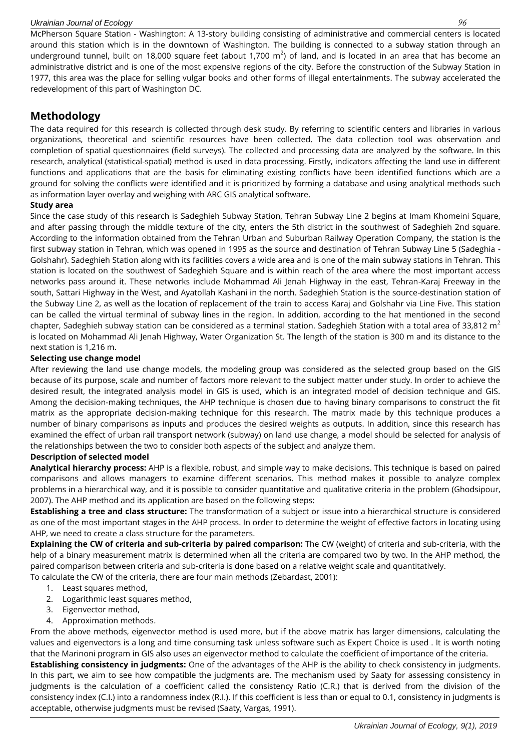#### *Ukrainian Journal of Ecology 96*

McPherson Square Station - Washington: A 13-story building consisting of administrative and commercial centers is located around this station which is in the downtown of Washington. The building is connected to a subway station through an underground tunnel, built on 18,000 square feet (about 1,700 m<sup>2</sup>) of land, and is located in an area that has become an administrative district and is one of the most expensive regions of the city. Before the construction of the Subway Station in 1977, this area was the place for selling vulgar books and other forms of illegal entertainments. The subway accelerated the redevelopment of this part of Washington DC.

## **Methodology**

The data required for this research is collected through desk study. By referring to scientific centers and libraries in various organizations, theoretical and scientific resources have been collected. The data collection tool was observation and completion of spatial questionnaires (field surveys). The collected and processing data are analyzed by the software. In this research, analytical (statistical-spatial) method is used in data processing. Firstly, indicators affecting the land use in different functions and applications that are the basis for eliminating existing conflicts have been identified functions which are a ground for solving the conflicts were identified and it is prioritized by forming a database and using analytical methods such as information layer overlay and weighing with ARC GIS analytical software.

## **Study area**

Since the case study of this research is Sadeghieh Subway Station, Tehran Subway Line 2 begins at Imam Khomeini Square, and after passing through the middle texture of the city, enters the 5th district in the southwest of Sadeghieh 2nd square. According to the information obtained from the Tehran Urban and Suburban Railway Operation Company, the station is the first subway station in Tehran, which was opened in 1995 as the source and destination of Tehran Subway Line 5 (Sadeghia - Golshahr). Sadeghieh Station along with its facilities covers a wide area and is one of the main subway stations in Tehran. This station is located on the southwest of Sadeghieh Square and is within reach of the area where the most important access networks pass around it. These networks include Mohammad Ali Jenah Highway in the east, Tehran-Karaj Freeway in the south, Sattari Highway in the West, and Ayatollah Kashani in the north. Sadeghieh Station is the source-destination station of the Subway Line 2, as well as the location of replacement of the train to access Karaj and Golshahr via Line Five. This station can be called the virtual terminal of subway lines in the region. In addition, according to the hat mentioned in the second chapter, Sadeghieh subway station can be considered as a terminal station. Sadeghieh Station with a total area of 33,812 m<sup>2</sup> is located on Mohammad Ali Jenah Highway, Water Organization St. The length of the station is 300 m and its distance to the next station is 1,216 m.

#### **Selecting use change model**

After reviewing the land use change models, the modeling group was considered as the selected group based on the GIS because of its purpose, scale and number of factors more relevant to the subject matter under study. In order to achieve the desired result, the integrated analysis model in GIS is used, which is an integrated model of decision technique and GIS. Among the decision-making techniques, the AHP technique is chosen due to having binary comparisons to construct the fit matrix as the appropriate decision-making technique for this research. The matrix made by this technique produces a number of binary comparisons as inputs and produces the desired weights as outputs. In addition, since this research has examined the effect of urban rail transport network (subway) on land use change, a model should be selected for analysis of the relationships between the two to consider both aspects of the subject and analyze them.

## **Description of selected model**

**Analytical hierarchy process:** AHP is a flexible, robust, and simple way to make decisions. This technique is based on paired comparisons and allows managers to examine different scenarios. This method makes it possible to analyze complex problems in a hierarchical way, and it is possible to consider quantitative and qualitative criteria in the problem (Ghodsipour, 2007). The AHP method and its application are based on the following steps:

**Establishing a tree and class structure:** The transformation of a subject or issue into a hierarchical structure is considered as one of the most important stages in the AHP process. In order to determine the weight of effective factors in locating using AHP, we need to create a class structure for the parameters.

**Explaining the CW of criteria and sub-criteria by paired comparison:** The CW (weight) of criteria and sub-criteria, with the help of a binary measurement matrix is determined when all the criteria are compared two by two. In the AHP method, the paired comparison between criteria and sub-criteria is done based on a relative weight scale and quantitatively.

To calculate the CW of the criteria, there are four main methods (Zebardast, 2001):

- 1. Least squares method,
- 2. Logarithmic least squares method,
- 3. Eigenvector method,
- 4. Approximation methods.

From the above methods, eigenvector method is used more, but if the above matrix has larger dimensions, calculating the values and eigenvectors is a long and time consuming task unless software such as Expert Choice is used . It is worth noting that the Marinoni program in GIS also uses an eigenvector method to calculate the coefficient of importance of the criteria.

**Establishing consistency in judgments:** One of the advantages of the AHP is the ability to check consistency in judgments. In this part, we aim to see how compatible the judgments are. The mechanism used by Saaty for assessing consistency in judgments is the calculation of a coefficient called the consistency Ratio (C.R.) that is derived from the division of the consistency index (C.I.) into a randomness index (R.I.). If this coefficient is less than or equal to 0.1, consistency in judgments is acceptable, otherwise judgments must be revised (Saaty, Vargas, 1991).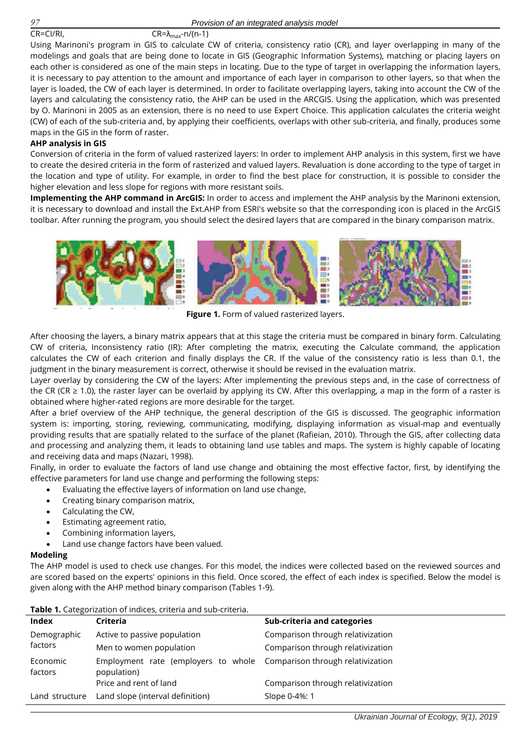$CR = C1/RI$ ,  $CR = \lambda_{max} - n/(n-1)$ 

Using Marinoni's program in GIS to calculate CW of criteria, consistency ratio (CR), and layer overlapping in many of the modelings and goals that are being done to locate in GIS (Geographic Information Systems), matching or placing layers on each other is considered as one of the main steps in locating. Due to the type of target in overlapping the information layers, it is necessary to pay attention to the amount and importance of each layer in comparison to other layers, so that when the layer is loaded, the CW of each layer is determined. In order to facilitate overlapping layers, taking into account the CW of the layers and calculating the consistency ratio, the AHP can be used in the ARCGIS. Using the application, which was presented by O. Marinoni in 2005 as an extension, there is no need to use Expert Choice. This application calculates the criteria weight (CW) of each of the sub-criteria and, by applying their coefficients, overlaps with other sub-criteria, and finally, produces some maps in the GIS in the form of raster.

#### **AHP analysis in GIS**

Conversion of criteria in the form of valued rasterized layers: In order to implement AHP analysis in this system, first we have to create the desired criteria in the form of rasterized and valued layers. Revaluation is done according to the type of target in the location and type of utility. For example, in order to find the best place for construction, it is possible to consider the higher elevation and less slope for regions with more resistant soils.

**Implementing the AHP command in ArcGIS:** In order to access and implement the AHP analysis by the Marinoni extension, it is necessary to download and install the Ext.AHP from ESRI's website so that the corresponding icon is placed in the ArcGIS toolbar. After running the program, you should select the desired layers that are compared in the binary comparison matrix.



**Figure 1.** Form of valued rasterized layers.

After choosing the layers, a binary matrix appears that at this stage the criteria must be compared in binary form. Calculating CW of criteria, Inconsistency ratio (IR): After completing the matrix, executing the Calculate command, the application calculates the CW of each criterion and finally displays the CR. If the value of the consistency ratio is less than 0.1, the judgment in the binary measurement is correct, otherwise it should be revised in the evaluation matrix.

Layer overlay by considering the CW of the layers: After implementing the previous steps and, in the case of correctness of the CR (CR  $\geq$  1.0), the raster layer can be overlaid by applying its CW. After this overlapping, a map in the form of a raster is obtained where higher-rated regions are more desirable for the target.

After a brief overview of the AHP technique, the general description of the GIS is discussed. The geographic information system is: importing, storing, reviewing, communicating, modifying, displaying information as visual-map and eventually providing results that are spatially related to the surface of the planet (Rafieian, 2010). Through the GIS, after collecting data and processing and analyzing them, it leads to obtaining land use tables and maps. The system is highly capable of locating and receiving data and maps (Nazari, 1998).

Finally, in order to evaluate the factors of land use change and obtaining the most effective factor, first, by identifying the effective parameters for land use change and performing the following steps:

- Evaluating the effective layers of information on land use change,
- Creating binary comparison matrix,
- Calculating the CW,
- Estimating agreement ratio,
- Combining information layers,
- Land use change factors have been valued.

#### **Modeling**

The AHP model is used to check use changes. For this model, the indices were collected based on the reviewed sources and are scored based on the experts' opinions in this field. Once scored, the effect of each index is specified. Below the model is given along with the AHP method binary comparison (Tables 1-9).

| <b>Table 1.</b> Categorization of indices, criteria and sub-criteria.                |                                   |  |  |  |  |  |
|--------------------------------------------------------------------------------------|-----------------------------------|--|--|--|--|--|
| <b>Criteria</b>                                                                      | Sub-criteria and categories       |  |  |  |  |  |
| Active to passive population                                                         | Comparison through relativization |  |  |  |  |  |
| Men to women population                                                              | Comparison through relativization |  |  |  |  |  |
| Employment rate (employers to whole Comparison through relativization<br>population) |                                   |  |  |  |  |  |
| Price and rent of land                                                               | Comparison through relativization |  |  |  |  |  |
| Land slope (interval definition)                                                     | Slope 0-4%: 1                     |  |  |  |  |  |
|                                                                                      |                                   |  |  |  |  |  |

## **ble 1.** Categorization of indices, criteria and sub-criteria.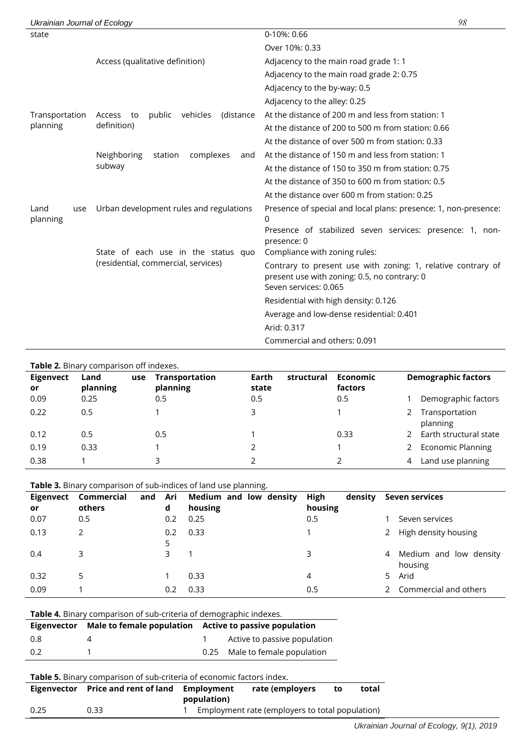| Ukrainian Journal of Ecology |                                                 |                                                                                                                                       | 98 |
|------------------------------|-------------------------------------------------|---------------------------------------------------------------------------------------------------------------------------------------|----|
| state                        |                                                 | 0-10%: 0.66                                                                                                                           |    |
|                              |                                                 | Over 10%: 0.33                                                                                                                        |    |
|                              | Access (qualitative definition)                 | Adjacency to the main road grade 1: 1                                                                                                 |    |
|                              |                                                 | Adjacency to the main road grade 2: 0.75                                                                                              |    |
|                              |                                                 | Adjacency to the by-way: 0.5                                                                                                          |    |
|                              |                                                 | Adjacency to the alley: 0.25                                                                                                          |    |
| Transportation               | vehicles<br>public<br>(distance<br>Access<br>to | At the distance of 200 m and less from station: 1                                                                                     |    |
| planning                     | definition)                                     | At the distance of 200 to 500 m from station: 0.66                                                                                    |    |
|                              |                                                 | At the distance of over 500 m from station: 0.33                                                                                      |    |
|                              | Neighboring<br>complexes<br>station<br>and      | At the distance of 150 m and less from station: 1                                                                                     |    |
|                              | subway                                          | At the distance of 150 to 350 m from station: 0.75                                                                                    |    |
|                              |                                                 | At the distance of 350 to 600 m from station: 0.5                                                                                     |    |
|                              |                                                 | At the distance over 600 m from station: 0.25                                                                                         |    |
| Land<br>use<br>planning      | Urban development rules and regulations         | Presence of special and local plans: presence: 1, non-presence:<br>0                                                                  |    |
|                              |                                                 | Presence of stabilized seven services: presence: 1, non-<br>presence: 0                                                               |    |
|                              | State of each use in the status quo             | Compliance with zoning rules:                                                                                                         |    |
|                              | (residential, commercial, services)             | Contrary to present use with zoning: 1, relative contrary of<br>present use with zoning: 0.5, no contrary: 0<br>Seven services: 0.065 |    |
|                              |                                                 | Residential with high density: 0.126                                                                                                  |    |
|                              |                                                 | Average and low-dense residential: 0.401                                                                                              |    |
|                              |                                                 | Arid: 0.317                                                                                                                           |    |
|                              |                                                 | Commercial and others: 0.091                                                                                                          |    |

| Table 2. Binary comparison off indexes. |                         |                                   |                              |                            |                                 |  |  |
|-----------------------------------------|-------------------------|-----------------------------------|------------------------------|----------------------------|---------------------------------|--|--|
| Eigenvect<br>or                         | Land<br>use<br>planning | <b>Transportation</b><br>planning | Earth<br>structural<br>state | <b>Economic</b><br>factors | <b>Demographic factors</b>      |  |  |
| 0.09                                    | 0.25                    | 0.5                               | 0.5                          | 0.5                        | Demographic factors             |  |  |
| 0.22                                    | 0.5                     |                                   | 3                            |                            | Transportation<br>2<br>planning |  |  |
| 0.12                                    | 0.5                     | 0.5                               |                              | 0.33                       | 2 Earth structural state        |  |  |
| 0.19                                    | 0.33                    |                                   |                              |                            | 2 Economic Planning             |  |  |
| 0.38                                    |                         | 3                                 |                              |                            | Land use planning<br>4          |  |  |

|                 |                      |                 | <b>Table 3.</b> Binary comparison of sub-indices of land use planning. |                            |                                        |
|-----------------|----------------------|-----------------|------------------------------------------------------------------------|----------------------------|----------------------------------------|
| Eigenvect<br>or | Commercial<br>others | Ari<br>and<br>d | Medium and low density<br>housing                                      | High<br>density<br>housing | Seven services                         |
| 0.07            | 0.5                  | 0.2             | 0.25                                                                   | 0.5                        | Seven services                         |
| 0.13            | 2                    | 0.2             | 0.33                                                                   |                            | High density housing<br>2              |
| 0.4             | 3                    | 3               |                                                                        | 3                          | Medium and low density<br>4<br>housing |
| 0.32            | 5                    |                 | 0.33                                                                   | 4                          | Arid<br>5.                             |
| 0.09            |                      | 0.2             | 0.33                                                                   | 0.5                        | Commercial and others                  |

| <b>Table 4.</b> Binary comparison of sub-criteria of demographic indexes. |                                                        |                |                                |  |  |  |
|---------------------------------------------------------------------------|--------------------------------------------------------|----------------|--------------------------------|--|--|--|
| Eigenvector                                                               | Male to female population Active to passive population |                |                                |  |  |  |
| 0.8                                                                       |                                                        | $\overline{1}$ | Active to passive population   |  |  |  |
| 0.2                                                                       |                                                        |                | 0.25 Male to female population |  |  |  |

| <b>Eigenvector</b> | Price and rent of land | rate (employers<br>Employment |                                                 | tο | total |
|--------------------|------------------------|-------------------------------|-------------------------------------------------|----|-------|
| 0.25               | 0.33                   | population)                   | Employment rate (employers to total population) |    |       |
|                    |                        |                               |                                                 |    |       |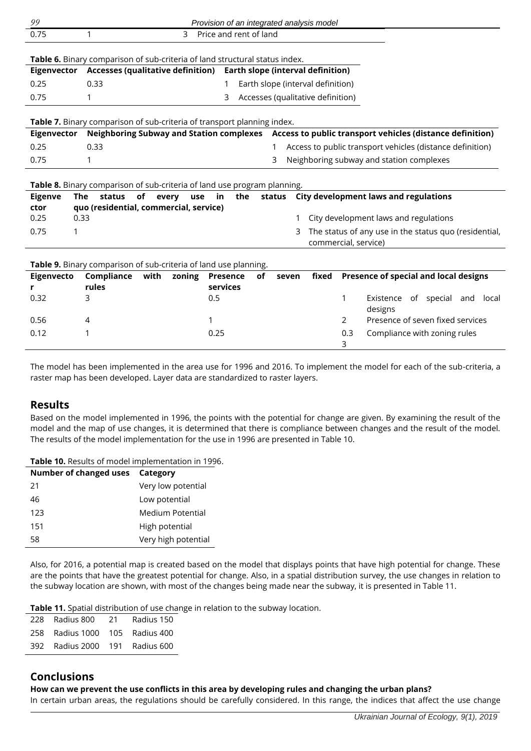| 99             |                                                                             |      |              | Provision of an integrated analysis model |           |                                          |                      |     |                                                                                                    |
|----------------|-----------------------------------------------------------------------------|------|--------------|-------------------------------------------|-----------|------------------------------------------|----------------------|-----|----------------------------------------------------------------------------------------------------|
| 0.75           | 1                                                                           |      | 3            | Price and rent of land                    |           |                                          |                      |     |                                                                                                    |
|                |                                                                             |      |              |                                           |           |                                          |                      |     |                                                                                                    |
|                | Table 6. Binary comparison of sub-criteria of land structural status index. |      |              |                                           |           |                                          |                      |     |                                                                                                    |
| Eigenvector    | <b>Accesses (qualitative definition)</b>                                    |      |              |                                           |           | <b>Earth slope (interval definition)</b> |                      |     |                                                                                                    |
| 0.25           | 0.33                                                                        |      |              |                                           |           | Earth slope (interval definition)        |                      |     |                                                                                                    |
| 0.75           | 1                                                                           |      |              | 3                                         |           | Accesses (qualitative definition)        |                      |     |                                                                                                    |
|                |                                                                             |      |              |                                           |           |                                          |                      |     |                                                                                                    |
| Eigenvector    | Table 7. Binary comparison of sub-criteria of transport planning index.     |      |              |                                           |           |                                          |                      |     | Neighboring Subway and Station complexes Access to public transport vehicles (distance definition) |
| 0.25           | 0.33                                                                        |      |              |                                           |           |                                          |                      |     | Access to public transport vehicles (distance definition)                                          |
| 0.75           | 1                                                                           |      |              |                                           |           | 3                                        |                      |     | Neighboring subway and station complexes                                                           |
|                |                                                                             |      |              |                                           |           |                                          |                      |     |                                                                                                    |
|                | Table 8. Binary comparison of sub-criteria of land use program planning.    |      |              |                                           |           |                                          |                      |     |                                                                                                    |
| <b>Eigenve</b> | <b>The</b><br>status                                                        | of   | every<br>use | in<br>the                                 |           | status                                   |                      |     | <b>City development laws and regulations</b>                                                       |
| ctor           | quo (residential, commercial, service)                                      |      |              |                                           |           |                                          |                      |     |                                                                                                    |
| 0.25           | 0.33                                                                        |      |              |                                           |           | 1                                        |                      |     | City development laws and regulations                                                              |
| 0.75<br>1      |                                                                             |      |              |                                           |           | 3                                        |                      |     | The status of any use in the status quo (residential,                                              |
|                |                                                                             |      |              |                                           |           |                                          | commercial, service) |     |                                                                                                    |
|                | Table 9. Binary comparison of sub-criteria of land use planning.            |      |              |                                           |           |                                          |                      |     |                                                                                                    |
| Eigenvecto     | Compliance                                                                  | with | zoning       | <b>Presence</b>                           | <b>of</b> | seven                                    | fixed                |     | Presence of special and local designs                                                              |
|                | rules                                                                       |      |              | services                                  |           |                                          |                      |     |                                                                                                    |
| 0.32           | 3                                                                           |      |              | 0.5                                       |           |                                          |                      | 1   | Existence of special and local<br>designs                                                          |
| 0.56           | 4                                                                           |      |              | 1                                         |           |                                          |                      | 2   | Presence of seven fixed services                                                                   |
| 0.12           | 1                                                                           |      |              | 0.25                                      |           |                                          |                      | 0.3 | Compliance with zoning rules                                                                       |
|                |                                                                             |      |              |                                           |           |                                          |                      | 3   |                                                                                                    |

The model has been implemented in the area use for 1996 and 2016. To implement the model for each of the sub-criteria, a raster map has been developed. Layer data are standardized to raster layers.

## **Results**

Based on the model implemented in 1996, the points with the potential for change are given. By examining the result of the model and the map of use changes, it is determined that there is compliance between changes and the result of the model. The results of the model implementation for the use in 1996 are presented in Table 10.

**Table 10.** Results of model implementation in 1996.

| <b>Number of changed uses</b> | Category            |
|-------------------------------|---------------------|
| 21                            | Very low potential  |
| 46                            | Low potential       |
| 123                           | Medium Potential    |
| 151                           | High potential      |
| 58                            | Very high potential |

Also, for 2016, a potential map is created based on the model that displays points that have high potential for change. These are the points that have the greatest potential for change. Also, in a spatial distribution survey, the use changes in relation to the subway location are shown, with most of the changes being made near the subway, it is presented in Table 11.

**Table 11.** Spatial distribution of use change in relation to the subway location.

| 228 Radius 800 21              | Radius 150 |
|--------------------------------|------------|
| 258 Radius 1000 105 Radius 400 |            |
| 392 Radius 2000 191 Radius 600 |            |

## **Conclusions**

## **How can we prevent the use conflicts in this area by developing rules and changing the urban plans?**

In certain urban areas, the regulations should be carefully considered. In this range, the indices that affect the use change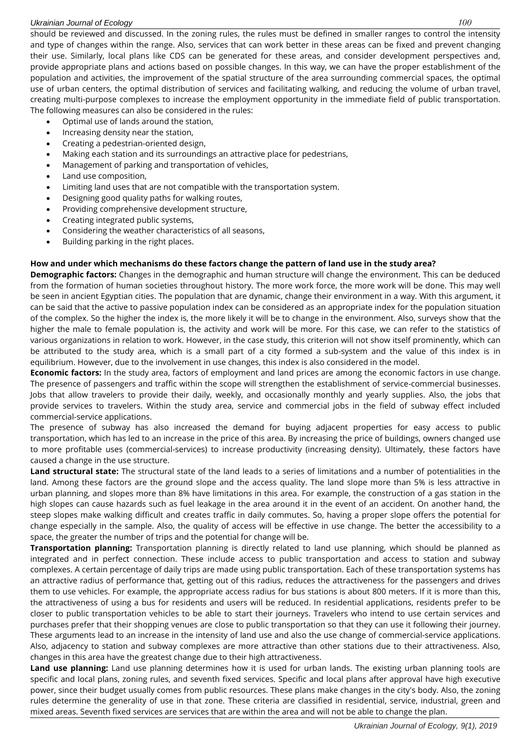#### *Ukrainian Journal of Ecology 100*

should be reviewed and discussed. In the zoning rules, the rules must be defined in smaller ranges to control the intensity and type of changes within the range. Also, services that can work better in these areas can be fixed and prevent changing their use. Similarly, local plans like CDS can be generated for these areas, and consider development perspectives and, provide appropriate plans and actions based on possible changes. In this way, we can have the proper establishment of the population and activities, the improvement of the spatial structure of the area surrounding commercial spaces, the optimal use of urban centers, the optimal distribution of services and facilitating walking, and reducing the volume of urban travel, creating multi-purpose complexes to increase the employment opportunity in the immediate field of public transportation. The following measures can also be considered in the rules:

- Optimal use of lands around the station,
- Increasing density near the station,
- Creating a pedestrian-oriented design,
- Making each station and its surroundings an attractive place for pedestrians,
- Management of parking and transportation of vehicles,
- Land use composition,
- Limiting land uses that are not compatible with the transportation system.
- Designing good quality paths for walking routes,
- Providing comprehensive development structure,
- Creating integrated public systems,
- Considering the weather characteristics of all seasons,
- Building parking in the right places.

#### **How and under which mechanisms do these factors change the pattern of land use in the study area?**

**Demographic factors:** Changes in the demographic and human structure will change the environment. This can be deduced from the formation of human societies throughout history. The more work force, the more work will be done. This may well be seen in ancient Egyptian cities. The population that are dynamic, change their environment in a way. With this argument, it can be said that the active to passive population index can be considered as an appropriate index for the population situation of the complex. So the higher the index is, the more likely it will be to change in the environment. Also, surveys show that the higher the male to female population is, the activity and work will be more. For this case, we can refer to the statistics of various organizations in relation to work. However, in the case study, this criterion will not show itself prominently, which can be attributed to the study area, which is a small part of a city formed a sub-system and the value of this index is in equilibrium. However, due to the involvement in use changes, this index is also considered in the model.

**Economic factors:** In the study area, factors of employment and land prices are among the economic factors in use change. The presence of passengers and traffic within the scope will strengthen the establishment of service-commercial businesses. Jobs that allow travelers to provide their daily, weekly, and occasionally monthly and yearly supplies. Also, the jobs that provide services to travelers. Within the study area, service and commercial jobs in the field of subway effect included commercial-service applications.

The presence of subway has also increased the demand for buying adjacent properties for easy access to public transportation, which has led to an increase in the price of this area. By increasing the price of buildings, owners changed use to more profitable uses (commercial-services) to increase productivity (increasing density). Ultimately, these factors have caused a change in the use structure.

**Land structural state:** The structural state of the land leads to a series of limitations and a number of potentialities in the land. Among these factors are the ground slope and the access quality. The land slope more than 5% is less attractive in urban planning, and slopes more than 8% have limitations in this area. For example, the construction of a gas station in the high slopes can cause hazards such as fuel leakage in the area around it in the event of an accident. On another hand, the steep slopes make walking difficult and creates traffic in daily commutes. So, having a proper slope offers the potential for change especially in the sample. Also, the quality of access will be effective in use change. The better the accessibility to a space, the greater the number of trips and the potential for change will be.

**Transportation planning:** Transportation planning is directly related to land use planning, which should be planned as integrated and in perfect connection. These include access to public transportation and access to station and subway complexes. A certain percentage of daily trips are made using public transportation. Each of these transportation systems has an attractive radius of performance that, getting out of this radius, reduces the attractiveness for the passengers and drives them to use vehicles. For example, the appropriate access radius for bus stations is about 800 meters. If it is more than this, the attractiveness of using a bus for residents and users will be reduced. In residential applications, residents prefer to be closer to public transportation vehicles to be able to start their journeys. Travelers who intend to use certain services and purchases prefer that their shopping venues are close to public transportation so that they can use it following their journey. These arguments lead to an increase in the intensity of land use and also the use change of commercial-service applications. Also, adjacency to station and subway complexes are more attractive than other stations due to their attractiveness. Also, changes in this area have the greatest change due to their high attractiveness.

**Land use planning:** Land use planning determines how it is used for urban lands. The existing urban planning tools are specific and local plans, zoning rules, and seventh fixed services. Specific and local plans after approval have high executive power, since their budget usually comes from public resources. These plans make changes in the city's body. Also, the zoning rules determine the generality of use in that zone. These criteria are classified in residential, service, industrial, green and mixed areas. Seventh fixed services are services that are within the area and will not be able to change the plan.